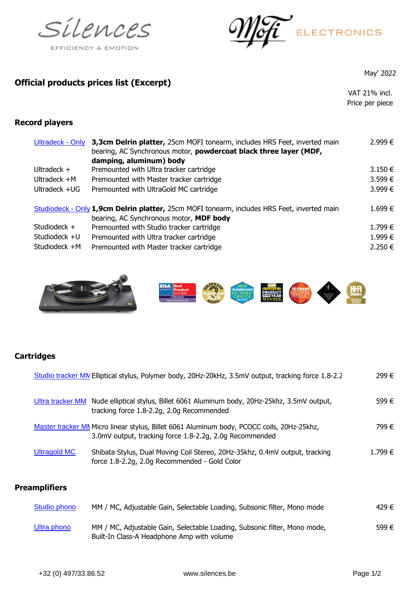



## **Official products prices list (Excerpt)**

May' 2022

VAT 21% incl. Price per piece

## **Record players**

| Ultradeck - Only | 3,3cm Delrin platter, 25cm MOFI tonearm, includes HRS Feet, inverted main<br>bearing, AC Synchronous motor, powdercoat black three layer (MDF,<br>damping, aluminum) body | $2.999 \in$ |
|------------------|---------------------------------------------------------------------------------------------------------------------------------------------------------------------------|-------------|
| Ultradeck $+$    | Premounted with Ultra tracker cartridge                                                                                                                                   | $3.150 \in$ |
| Ultradeck $+M$   | Premounted with Master tracker cartridge                                                                                                                                  | 3.599€      |
| Ultradeck +UG    | Premounted with UltraGold MC cartridge                                                                                                                                    | 3.999€      |
|                  | Studiodeck - Only 1,9cm Delrin platter, 25cm MOFI tonearm, includes HRS Feet, inverted main<br>bearing, AC Synchronous motor, MDF body                                    | 1.699€      |
| Studiodeck +     | Premounted with Studio tracker cartridge                                                                                                                                  | 1.799 €     |
| Studiodeck +U    | Premounted with Ultra tracker cartridge                                                                                                                                   | 1.999€      |
| Studiodeck +M    | Premounted with Master tracker cartridge                                                                                                                                  | 2.250 €     |



## **Cartridges**

|                      | Studio tracker MN Elliptical stylus, Polymer body, 20Hz-20kHz, 3.5mV output, tracking force 1.8-2.2                                                   | 299€   |
|----------------------|-------------------------------------------------------------------------------------------------------------------------------------------------------|--------|
|                      | Ultra tracker MM Nude elliptical stylus, Billet 6061 Aluminum body, 20Hz-25khz, 3.5mV output,<br>tracking force 1.8-2.2g, 2.0g Recommended            | 599€   |
|                      | Master tracker MM Micro linear stylus, Billet 6061 Aluminum body, PCOCC coils, 20Hz-25khz,<br>3.0mV output, tracking force 1.8-2.2g, 2.0g Recommended | 799 €  |
| Ultragold MC         | Shibata Stylus, Dual Moving Coil Stereo, 20Hz-35khz, 0.4mV output, tracking<br>force 1.8-2.2g, 2.0g Recommended - Gold Color                          | 1.799€ |
| <b>Preamplifiers</b> |                                                                                                                                                       |        |

| <b>Studio phono</b> | MM / MC, Adjustable Gain, Selectable Loading, Subsonic filter, Mono mode                                                | 429 € |
|---------------------|-------------------------------------------------------------------------------------------------------------------------|-------|
| Ultra phono         | MM / MC, Adjustable Gain, Selectable Loading, Subsonic filter, Mono mode,<br>Built-In Class-A Headphone Amp with volume | 599€  |